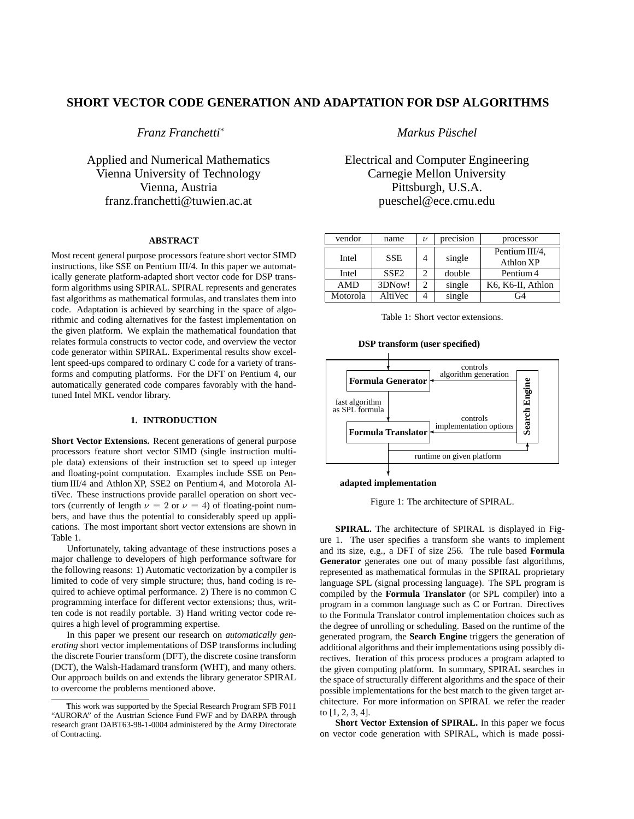# **SHORT VECTOR CODE GENERATION AND ADAPTATION FOR DSP ALGORITHMS**

*Franz Franchetti*<sup>∗</sup>

Applied and Numerical Mathematics Vienna University of Technology Vienna, Austria franz.franchetti@tuwien.ac.at

### **ABSTRACT**

Most recent general purpose processors feature short vector SIMD instructions, like SSE on Pentium III/4. In this paper we automatically generate platform-adapted short vector code for DSP transform algorithms using SPIRAL. SPIRAL represents and generates fast algorithms as mathematical formulas, and translates them into code. Adaptation is achieved by searching in the space of algorithmic and coding alternatives for the fastest implementation on the given platform. We explain the mathematical foundation that relates formula constructs to vector code, and overview the vector code generator within SPIRAL. Experimental results show excellent speed-ups compared to ordinary C code for a variety of transforms and computing platforms. For the DFT on Pentium 4, our automatically generated code compares favorably with the handtuned Intel MKL vendor library.

#### **1. INTRODUCTION**

**Short Vector Extensions.** Recent generations of general purpose processors feature short vector SIMD (single instruction multiple data) extensions of their instruction set to speed up integer and floating-point computation. Examples include SSE on Pentium III/4 and Athlon XP, SSE2 on Pentium 4, and Motorola AltiVec. These instructions provide parallel operation on short vectors (currently of length  $\nu = 2$  or  $\nu = 4$ ) of floating-point numbers, and have thus the potential to considerably speed up applications. The most important short vector extensions are shown in Table 1.

Unfortunately, taking advantage of these instructions poses a major challenge to developers of high performance software for the following reasons: 1) Automatic vectorization by a compiler is limited to code of very simple structure; thus, hand coding is required to achieve optimal performance. 2) There is no common C programming interface for different vector extensions; thus, written code is not readily portable. 3) Hand writing vector code requires a high level of programming expertise.

In this paper we present our research on *automatically generating* short vector implementations of DSP transforms including the discrete Fourier transform (DFT), the discrete cosine transform (DCT), the Walsh-Hadamard transform (WHT), and many others. Our approach builds on and extends the library generator SPIRAL to overcome the problems mentioned above.

*Markus Pusc ¨ hel*

Electrical and Computer Engineering Carnegie Mellon University Pittsburgh, U.S.A. pueschel@ece.cmu.edu

| vendor     | name             | ν | precision | processor                   |
|------------|------------------|---|-----------|-----------------------------|
| Intel      | <b>SSE</b>       | 4 | single    | Pentium III/4,<br>Athlon XP |
| Intel      | SSE <sub>2</sub> |   | double    | Pentium 4                   |
| <b>AMD</b> | 3DNow!           | 2 | single    | K6, K6-II, Athlon           |
| Motorola   | AltiVec          |   | single    | G4                          |

Table 1: Short vector extensions.

**DSP transform (user specified)**



## **adapted implementation**

Figure 1: The architecture of SPIRAL.

**SPIRAL.** The architecture of SPIRAL is displayed in Figure 1. The user specifies a transform she wants to implement and its size, e.g., a DFT of size 256. The rule based **Formula Generator** generates one out of many possible fast algorithms, represented as mathematical formulas in the SPIRAL proprietary language SPL (signal processing language). The SPL program is compiled by the **Formula Translator** (or SPL compiler) into a program in a common language such as C or Fortran. Directives to the Formula Translator control implementation choices such as the degree of unrolling or scheduling. Based on the runtime of the generated program, the **Search Engine** triggers the generation of additional algorithms and their implementations using possibly directives. Iteration of this process produces a program adapted to the given computing platform. In summary, SPIRAL searches in the space of structurally different algorithms and the space of their possible implementations for the best match to the given target architecture. For more information on SPIRAL we refer the reader to [1, 2, 3, 4].

**Short Vector Extension of SPIRAL.** In this paper we focus on vector code generation with SPIRAL, which is made possi-

This work was supported by the Special Research Program SFB F011 "AURORA" of the Austrian Science Fund FWF and by DARPA through research grant DABT63-98-1-0004 administered by the Army Directorate of Contracting.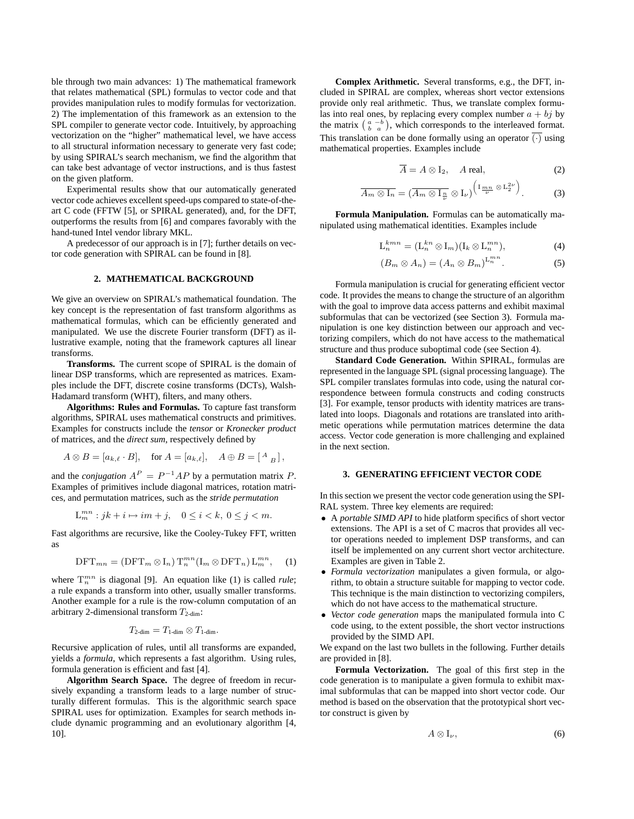ble through two main advances: 1) The mathematical framework that relates mathematical (SPL) formulas to vector code and that provides manipulation rules to modify formulas for vectorization. 2) The implementation of this framework as an extension to the SPL compiler to generate vector code. Intuitively, by approaching vectorization on the "higher" mathematical level, we have access to all structural information necessary to generate very fast code; by using SPIRAL's search mechanism, we find the algorithm that can take best advantage of vector instructions, and is thus fastest on the given platform.

Experimental results show that our automatically generated vector code achieves excellent speed-ups compared to state-of-theart C code (FFTW [5], or SPIRAL generated), and, for the DFT, outperforms the results from [6] and compares favorably with the hand-tuned Intel vendor library MKL.

A predecessor of our approach is in [7]; further details on vector code generation with SPIRAL can be found in [8].

#### **2. MATHEMATICAL BACKGROUND**

We give an overview on SPIRAL's mathematical foundation. The key concept is the representation of fast transform algorithms as mathematical formulas, which can be efficiently generated and manipulated. We use the discrete Fourier transform (DFT) as illustrative example, noting that the framework captures all linear transforms.

**Transforms.** The current scope of SPIRAL is the domain of linear DSP transforms, which are represented as matrices. Examples include the DFT, discrete cosine transforms (DCTs), Walsh-Hadamard transform (WHT), filters, and many others.

**Algorithms: Rules and Formulas.** To capture fast transform algorithms, SPIRAL uses mathematical constructs and primitives. Examples for constructs include the *tensor* or *Kronecker product* of matrices, and the *direct sum*, respectively defined by

$$
A \otimes B = [a_{k,\ell} \cdot B], \quad \text{for } A = [a_{k,\ell}], \quad A \oplus B = \left[ \begin{array}{cc} A \\ B \end{array} \right],
$$

and the *conjugation*  $A^P = P^{-1}AP$  by a permutation matrix P. Examples of primitives include diagonal matrices, rotation matrices, and permutation matrices, such as the *stride permutation*

$$
\mathcal{L}_m^{mn}: jk+i \mapsto im+j, \quad 0 \le i < k, \ 0 \le j < m.
$$

Fast algorithms are recursive, like the Cooley-Tukey FFT, written as

$$
\text{DFT}_{mn} = (\text{DFT}_m \otimes I_n) \operatorname{T}_n^{mn} (I_m \otimes \text{DFT}_n) L_m^{mn}, \quad (1)
$$

where  $T_n^{mn}$  is diagonal [9]. An equation like (1) is called *rule*; a rule expands a transform into other, usually smaller transforms. Another example for a rule is the row-column computation of an arbitrary 2-dimensional transform  $T_{2\text{-dim}}$ :

$$
T_{2\text{-dim}}=T_{1\text{-dim}}\otimes T_{1\text{-dim}}.
$$

Recursive application of rules, until all transforms are expanded, yields a *formula*, which represents a fast algorithm. Using rules, formula generation is efficient and fast [4].

**Algorithm Search Space.** The degree of freedom in recursively expanding a transform leads to a large number of structurally different formulas. This is the algorithmic search space SPIRAL uses for optimization. Examples for search methods include dynamic programming and an evolutionary algorithm [4, 10].

**Complex Arithmetic.** Several transforms, e.g., the DFT, included in SPIRAL are complex, whereas short vector extensions provide only real arithmetic. Thus, we translate complex formulas into real ones, by replacing every complex number  $a + bj$  by the matrix  $\begin{pmatrix} a & -b \\ b & a \end{pmatrix}$ , which corresponds to the interleaved format. This translation can be done formally using an operator  $\overline{(\cdot)}$  using mathematical properties. Examples include

$$
\overline{A} = A \otimes I_2, \quad A \text{ real}, \tag{2}
$$

$$
\overline{A_m \otimes I_n} = (\overline{A_m \otimes I_{\frac{n}{\nu}}} \otimes I_{\nu})^{\left(I_{\frac{mn}{\nu}} \otimes L_2^{2\nu}\right)}.
$$
 (3)

**Formula Manipulation.** Formulas can be automatically manipulated using mathematical identities. Examples include

$$
\mathcal{L}_n^{kmn} = (\mathcal{L}_n^{kn} \otimes \mathcal{I}_m)(\mathcal{I}_k \otimes \mathcal{L}_n^{mn}), \tag{4}
$$

$$
(B_m \otimes A_n) = (A_n \otimes B_m)^{L_n^{mn}}.
$$
 (5)

Formula manipulation is crucial for generating efficient vector code. It provides the means to change the structure of an algorithm with the goal to improve data access patterns and exhibit maximal subformulas that can be vectorized (see Section 3). Formula manipulation is one key distinction between our approach and vectorizing compilers, which do not have access to the mathematical structure and thus produce suboptimal code (see Section 4).

**Standard Code Generation.** Within SPIRAL, formulas are represented in the language SPL (signal processing language). The SPL compiler translates formulas into code, using the natural correspondence between formula constructs and coding constructs [3]. For example, tensor products with identity matrices are translated into loops. Diagonals and rotations are translated into arithmetic operations while permutation matrices determine the data access. Vector code generation is more challenging and explained in the next section.

#### **3. GENERATING EFFICIENT VECTOR CODE**

In this section we present the vector code generation using the SPI-RAL system. Three key elements are required:

- A *portable SIMD API* to hide platform specifics of short vector extensions. The API is a set of C macros that provides all vector operations needed to implement DSP transforms, and can itself be implemented on any current short vector architecture. Examples are given in Table 2.
- *Formula vectorization* manipulates a given formula, or algorithm, to obtain a structure suitable for mapping to vector code. This technique is the main distinction to vectorizing compilers, which do not have access to the mathematical structure.
- *Vector code generation* maps the manipulated formula into C code using, to the extent possible, the short vector instructions provided by the SIMD API.

We expand on the last two bullets in the following. Further details are provided in [8].

**Formula Vectorization.** The goal of this first step in the code generation is to manipulate a given formula to exhibit maximal subformulas that can be mapped into short vector code. Our method is based on the observation that the prototypical short vector construct is given by

$$
A\otimes I_{\nu},\tag{6}
$$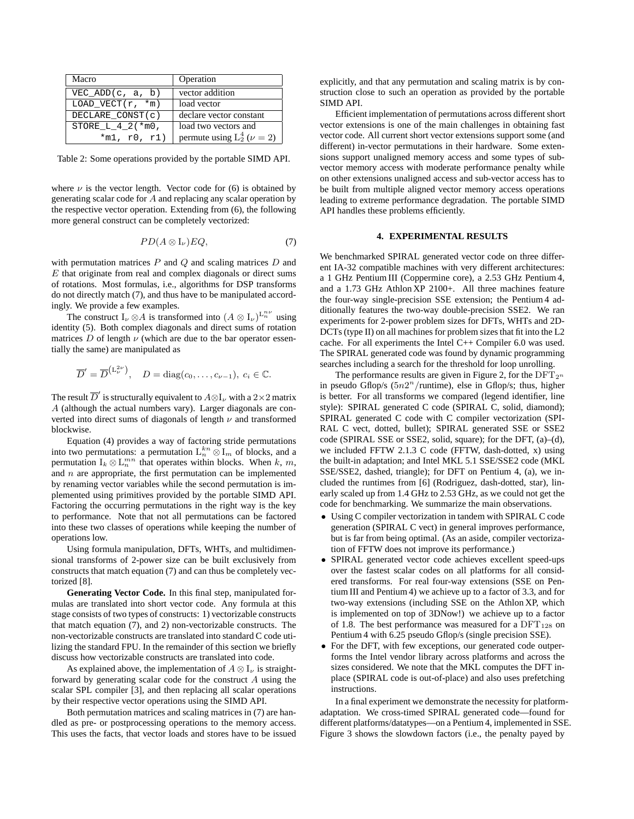| Macro               | Operation                           |  |
|---------------------|-------------------------------------|--|
| VEC ADD $(c, a, b)$ | vector addition                     |  |
| LOAD VECT $(r, *m)$ | load vector                         |  |
| DECLARE CONST(c)    | declare vector constant             |  |
| STORE $L_4$ 2(*m0,  | load two vectors and                |  |
| $*m1, r0, r1)$      | permute using $L_2^4$ ( $\nu = 2$ ) |  |

Table 2: Some operations provided by the portable SIMD API.

where  $\nu$  is the vector length. Vector code for (6) is obtained by generating scalar code for A and replacing any scalar operation by the respective vector operation. Extending from (6), the following more general construct can be completely vectorized:

$$
PD(A\otimes I_{\nu})EQ, \tag{7}
$$

with permutation matrices  $P$  and  $Q$  and scaling matrices  $D$  and  $E$  that originate from real and complex diagonals or direct sums of rotations. Most formulas, i.e., algorithms for DSP transforms do not directly match (7), and thus have to be manipulated accordingly. We provide a few examples.

The construct  $I_{\nu} \otimes A$  is transformed into  $(A \otimes I_{\nu})^{L_{n}^{n\nu}}$  using identity (5). Both complex diagonals and direct sums of rotation matrices D of length  $\nu$  (which are due to the bar operator essentially the same) are manipulated as

$$
\overline{D}' = \overline{D}^{(L_{\nu}^{2\nu})}, \quad D = \text{diag}(c_0, \dots, c_{\nu-1}), \ c_i \in \mathbb{C}.
$$

The result  $\overline{D}'$  is structurally equivalent to  $A \otimes \mathrm{I}_\nu$  with a  $2 \times 2$  matrix A (although the actual numbers vary). Larger diagonals are converted into direct sums of diagonals of length  $\nu$  and transformed blockwise.

Equation (4) provides a way of factoring stride permutations into two permutations: a permutation  $L_n^{kn} \otimes I_m$  of blocks, and a permutation  $I_k \otimes L_n^{mn}$  that operates within blocks. When k, m, and  $n$  are appropriate, the first permutation can be implemented by renaming vector variables while the second permutation is implemented using primitives provided by the portable SIMD API. Factoring the occurring permutations in the right way is the key to performance. Note that not all permutations can be factored into these two classes of operations while keeping the number of operations low.

Using formula manipulation, DFTs, WHTs, and multidimensional transforms of 2-power size can be built exclusively from constructs that match equation (7) and can thus be completely vectorized [8].

**Generating Vector Code.** In this final step, manipulated formulas are translated into short vector code. Any formula at this stage consists of two types of constructs: 1) vectorizable constructs that match equation (7), and 2) non-vectorizable constructs. The non-vectorizable constructs are translated into standard C code utilizing the standard FPU. In the remainder of this section we briefly discuss how vectorizable constructs are translated into code.

As explained above, the implementation of  $A \otimes I_{\nu}$  is straightforward by generating scalar code for the construct A using the scalar SPL compiler [3], and then replacing all scalar operations by their respective vector operations using the SIMD API.

Both permutation matrices and scaling matrices in (7) are handled as pre- or postprocessing operations to the memory access. This uses the facts, that vector loads and stores have to be issued explicitly, and that any permutation and scaling matrix is by construction close to such an operation as provided by the portable SIMD API.

Efficient implementation of permutations across different short vector extensions is one of the main challenges in obtaining fast vector code. All current short vector extensions support some (and different) in-vector permutations in their hardware. Some extensions support unaligned memory access and some types of subvector memory access with moderate performance penalty while on other extensions unaligned access and sub-vector access has to be built from multiple aligned vector memory access operations leading to extreme performance degradation. The portable SIMD API handles these problems efficiently.

#### **4. EXPERIMENTAL RESULTS**

We benchmarked SPIRAL generated vector code on three different IA-32 compatible machines with very different architectures: a 1 GHz Pentium III (Coppermine core), a 2.53 GHz Pentium 4, and a 1.73 GHz Athlon XP 2100+. All three machines feature the four-way single-precision SSE extension; the Pentium 4 additionally features the two-way double-precision SSE2. We ran experiments for 2-power problem sizes for DFTs, WHTs and 2D- $DCTs$  (type II) on all machines for problem sizes that fit into the  $L2$ cache. For all experiments the Intel C++ Compiler 6.0 was used. The SPIRAL generated code was found by dynamic programming searches including a search for the threshold for loop unrolling.

The performance results are given in Figure 2, for the  $DFT_{2^n}$ in pseudo Gflop/s  $(5n2<sup>n</sup>/\text{runtime})$ , else in Gflop/s; thus, higher is better. For all transforms we compared (legend identifier, line style): SPIRAL generated C code (SPIRAL C, solid, diamond); SPIRAL generated C code with C compiler vectorization (SPI-RAL C vect, dotted, bullet); SPIRAL generated SSE or SSE2 code (SPIRAL SSE or SSE2, solid, square); for the DFT, (a)–(d), we included FFTW 2.1.3 C code (FFTW, dash-dotted, x) using the built-in adaptation; and Intel MKL 5.1 SSE/SSE2 code (MKL SSE/SSE2, dashed, triangle); for DFT on Pentium 4, (a), we included the runtimes from [6] (Rodriguez, dash-dotted, star), linearly scaled up from 1.4 GHz to 2.53 GHz, as we could not get the code for benchmarking. We summarize the main observations.

- Using C compiler vectorization in tandem with SPIRAL C code generation (SPIRAL C vect) in general improves performance, but is far from being optimal. (As an aside, compiler vectorization of FFTW does not improve its performance.)
- SPIRAL generated vector code achieves excellent speed-ups over the fastest scalar codes on all platforms for all considered transforms. For real four-way extensions (SSE on Pentium III and Pentium 4) we achieve up to a factor of 3.3, and for two-way extensions (including SSE on the Athlon XP, which is implemented on top of 3DNow!) we achieve up to a factor of 1.8. The best performance was measured for a  $DFT_{128}$  on Pentium 4 with 6.25 pseudo Gflop/s (single precision SSE).
- For the DFT, with few exceptions, our generated code outperforms the Intel vendor library across platforms and across the sizes considered. We note that the MKL computes the DFT inplace (SPIRAL code is out-of-place) and also uses prefetching instructions.

In a final experiment we demonstrate the necessity for platformadaptation. We cross-timed SPIRAL generated code—found for different platforms/datatypes—on a Pentium 4, implemented in SSE. Figure 3 shows the slowdown factors (i.e., the penalty payed by